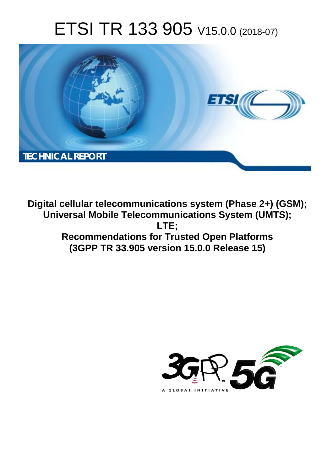# ETSI TR 133 905 V15.0.0 (2018-07)



**Digital cellular telecommunications system (Phase 2+) (GSM); Universal Mobile Telecommunications System (UMTS); LTE; Recommendations for Trusted Open Platforms (3GPP TR 33.905 version 15.0.0 Release 15)** 

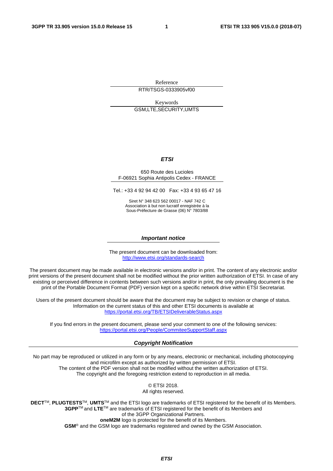Reference RTR/TSGS-0333905vf00

Keywords GSM,LTE,SECURITY,UMTS

#### *ETSI*

#### 650 Route des Lucioles F-06921 Sophia Antipolis Cedex - FRANCE

Tel.: +33 4 92 94 42 00 Fax: +33 4 93 65 47 16

Siret N° 348 623 562 00017 - NAF 742 C Association à but non lucratif enregistrée à la Sous-Préfecture de Grasse (06) N° 7803/88

#### *Important notice*

The present document can be downloaded from: <http://www.etsi.org/standards-search>

The present document may be made available in electronic versions and/or in print. The content of any electronic and/or print versions of the present document shall not be modified without the prior written authorization of ETSI. In case of any existing or perceived difference in contents between such versions and/or in print, the only prevailing document is the print of the Portable Document Format (PDF) version kept on a specific network drive within ETSI Secretariat.

Users of the present document should be aware that the document may be subject to revision or change of status. Information on the current status of this and other ETSI documents is available at <https://portal.etsi.org/TB/ETSIDeliverableStatus.aspx>

If you find errors in the present document, please send your comment to one of the following services: <https://portal.etsi.org/People/CommiteeSupportStaff.aspx>

#### *Copyright Notification*

No part may be reproduced or utilized in any form or by any means, electronic or mechanical, including photocopying and microfilm except as authorized by written permission of ETSI. The content of the PDF version shall not be modified without the written authorization of ETSI. The copyright and the foregoing restriction extend to reproduction in all media.

> © ETSI 2018. All rights reserved.

**DECT**TM, **PLUGTESTS**TM, **UMTS**TM and the ETSI logo are trademarks of ETSI registered for the benefit of its Members. **3GPP**TM and **LTE**TM are trademarks of ETSI registered for the benefit of its Members and of the 3GPP Organizational Partners. **oneM2M** logo is protected for the benefit of its Members.

**GSM**® and the GSM logo are trademarks registered and owned by the GSM Association.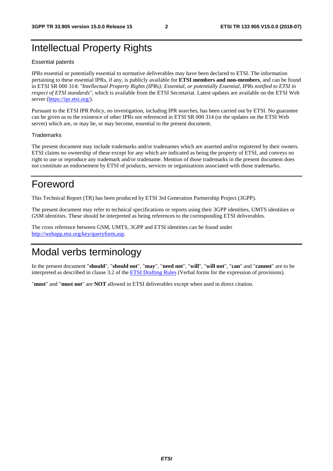## Intellectual Property Rights

#### Essential patents

IPRs essential or potentially essential to normative deliverables may have been declared to ETSI. The information pertaining to these essential IPRs, if any, is publicly available for **ETSI members and non-members**, and can be found in ETSI SR 000 314: *"Intellectual Property Rights (IPRs); Essential, or potentially Essential, IPRs notified to ETSI in respect of ETSI standards"*, which is available from the ETSI Secretariat. Latest updates are available on the ETSI Web server ([https://ipr.etsi.org/\)](https://ipr.etsi.org/).

Pursuant to the ETSI IPR Policy, no investigation, including IPR searches, has been carried out by ETSI. No guarantee can be given as to the existence of other IPRs not referenced in ETSI SR 000 314 (or the updates on the ETSI Web server) which are, or may be, or may become, essential to the present document.

#### **Trademarks**

The present document may include trademarks and/or tradenames which are asserted and/or registered by their owners. ETSI claims no ownership of these except for any which are indicated as being the property of ETSI, and conveys no right to use or reproduce any trademark and/or tradename. Mention of those trademarks in the present document does not constitute an endorsement by ETSI of products, services or organizations associated with those trademarks.

### Foreword

This Technical Report (TR) has been produced by ETSI 3rd Generation Partnership Project (3GPP).

The present document may refer to technical specifications or reports using their 3GPP identities, UMTS identities or GSM identities. These should be interpreted as being references to the corresponding ETSI deliverables.

The cross reference between GSM, UMTS, 3GPP and ETSI identities can be found under [http://webapp.etsi.org/key/queryform.asp.](http://webapp.etsi.org/key/queryform.asp)

## Modal verbs terminology

In the present document "**should**", "**should not**", "**may**", "**need not**", "**will**", "**will not**", "**can**" and "**cannot**" are to be interpreted as described in clause 3.2 of the [ETSI Drafting Rules](https://portal.etsi.org/Services/editHelp!/Howtostart/ETSIDraftingRules.aspx) (Verbal forms for the expression of provisions).

"**must**" and "**must not**" are **NOT** allowed in ETSI deliverables except when used in direct citation.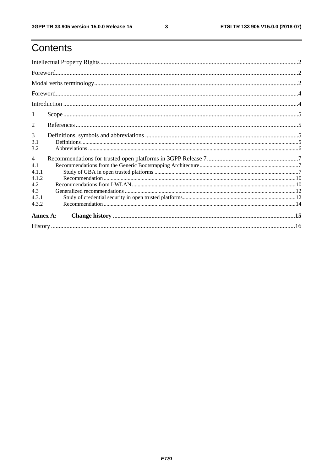## Contents

| 1                                                                       |  |  |  |  |
|-------------------------------------------------------------------------|--|--|--|--|
| 2                                                                       |  |  |  |  |
| 3<br>3.1<br>3.2                                                         |  |  |  |  |
| $\overline{4}$<br>4.1<br>4.1.1<br>4.1.2<br>4.2<br>4.3<br>4.3.1<br>4.3.2 |  |  |  |  |
| Annex A:                                                                |  |  |  |  |
|                                                                         |  |  |  |  |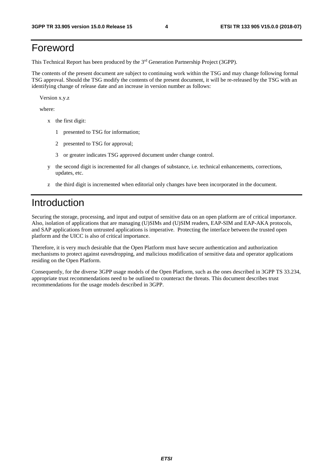## Foreword

This Technical Report has been produced by the 3rd Generation Partnership Project (3GPP).

The contents of the present document are subject to continuing work within the TSG and may change following formal TSG approval. Should the TSG modify the contents of the present document, it will be re-released by the TSG with an identifying change of release date and an increase in version number as follows:

Version x.y.z

where:

- x the first digit:
	- 1 presented to TSG for information;
	- 2 presented to TSG for approval;
	- 3 or greater indicates TSG approved document under change control.
- y the second digit is incremented for all changes of substance, i.e. technical enhancements, corrections, updates, etc.
- z the third digit is incremented when editorial only changes have been incorporated in the document.

### Introduction

Securing the storage, processing, and input and output of sensitive data on an open platform are of critical importance. Also, isolation of applications that are managing (U)SIMs and (U)SIM readers, EAP-SIM and EAP-AKA protocols, and SAP applications from untrusted applications is imperative. Protecting the interface between the trusted open platform and the UICC is also of critical importance.

Therefore, it is very much desirable that the Open Platform must have secure authentication and authorization mechanisms to protect against eavesdropping, and malicious modification of sensitive data and operator applications residing on the Open Platform.

Consequently, for the diverse 3GPP usage models of the Open Platform, such as the ones described in 3GPP TS 33.234, appropriate trust recommendations need to be outlined to counteract the threats. This document describes trust recommendations for the usage models described in 3GPP.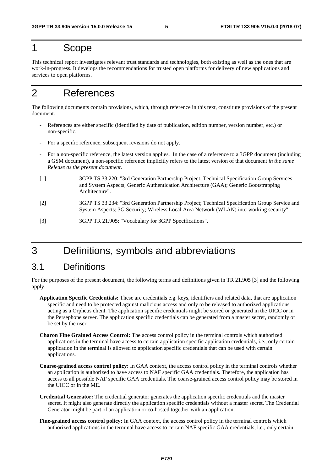## 1 Scope

This technical report investigates relevant trust standards and technologies, both existing as well as the ones that are work-in-progress. It develops the recommendations for trusted open platforms for delivery of new applications and services to open platforms.

## 2 References

The following documents contain provisions, which, through reference in this text, constitute provisions of the present document.

- References are either specific (identified by date of publication, edition number, version number, etc.) or non-specific.
- For a specific reference, subsequent revisions do not apply.
- For a non-specific reference, the latest version applies. In the case of a reference to a 3GPP document (including a GSM document), a non-specific reference implicitly refers to the latest version of that document *in the same Release as the present document*.
- [1] 3GPP TS 33.220: "3rd Generation Partnership Project; Technical Specification Group Services and System Aspects; Generic Authentication Architecture (GAA); Generic Bootstrapping Architecture".
- [2] 3GPP TS 33.234: "3rd Generation Partnership Project; Technical Specification Group Service and System Aspects; 3G Security; Wireless Local Area Network (WLAN) interworking security".
- [3] 3GPP TR 21.905: "Vocabulary for 3GPP Specifications".

## 3 Definitions, symbols and abbreviations

#### 3.1 Definitions

For the purposes of the present document, the following terms and definitions given in TR 21.905 [3] and the following apply.

- **Application Specific Credentials:** These are credentials e.g. keys, identifiers and related data, that are application specific and need to be protected against malicious access and only to be released to authorized applications acting as a Orpheus client. The application specific credentials might be stored or generated in the UICC or in the Persephone server. The application specific credentials can be generated from a master secret, randomly or be set by the user.
- **Charon Fine Grained Access Control:** The access control policy in the terminal controls which authorized applications in the terminal have access to certain application specific application credentials, i.e., only certain application in the terminal is allowed to application specific credentials that can be used with certain applications.
- **Coarse-grained access control policy:** In GAA context, the access control policy in the terminal controls whether an application is authorized to have access to NAF specific GAA credentials. Therefore, the application has access to all possible NAF specific GAA credentials. The coarse-grained access control policy may be stored in the UICC or in the ME.
- **Credential Generator:** The credential generator generates the application specific credentials and the master secret. It might also generate directly the application specific credentials without a master secret. The Credential Generator might be part of an application or co-hosted together with an application.
- **Fine-grained access control policy:** In GAA context, the access control policy in the terminal controls which authorized applications in the terminal have access to certain NAF specific GAA credentials, i.e., only certain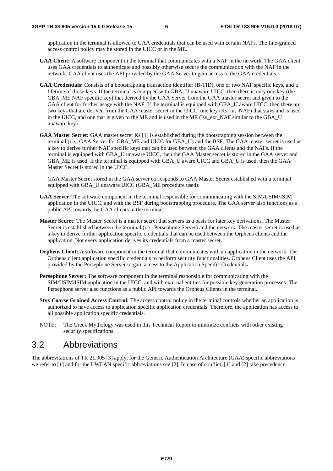application in the terminal is allowed to GAA credentials that can be used with certain NAFs. The fine-grained access control policy may be stored in the UICC or in the ME.

- **GAA Client:** A software component in the terminal that communicates with a NAF in the network. The GAA client uses GAA credentials to authenticate and possibly otherwise secure the communication with the NAF in the network. GAA client uses the API provided by the GAA Server to gain access to the GAA credentials.
- **GAA Credentials:** Consists of a bootstrapping transaction identifier (B-TID), one or two NAF specific keys, and a lifetime of those keys. If the terminal is equipped with GBA\_U unaware UICC, then there is only one key (the GBA\_ME NAF specific key) that derived by the GAA Server from the GAA master secret and given to the GAA client for further usage with the NAF. If the terminal is equipped with GBA\_U aware UICC, then there are two keys that are derived from the GAA master secret in the UICC: one key (Ks\_int\_NAF) that stays and is used in the UICC, and one that is given to the ME and is used in the ME (Ks\_ext\_NAF similar to the GBA\_U unaware key).
- **GAA Master Secret:** GAA master secret Ks [1] is established during the bootstrapping session between the terminal (i.e., GAA Server for GBA\_ME and UICC for GBA\_U) and the BSF. The GAA master secret is used as a key to derive further NAF specific keys that can be used between the GAA clients and the NAFs. If the terminal is equipped with GBA\_U unaware UICC, then the GAA Master secret is stored in the GAA server and GBA\_ME is used. If the terminal is equipped with GBA\_U aware UICC and GBA\_U is used, then the GAA Master Secret is stored in the UICC.

GAA Master Secret stored in the GAA server corresponds to GAA Master Secret established with a terminal equipped with GBA\_U unaware UICC (GBA\_ME procedure used).

- **GAA Server:** The software component in the terminal responsible for communicating with the SIM/USIM/ISIM application in the UICC, and with the BSF during bootstrapping procedure. The GAA server also functions as a public API towards the GAA clients in the terminal.
- **Master Secret:** The Master Secret is a master secret that servers as a basis for later key derivations. The Master Secret is established between the terminal (i.e., Persephone Server) and the network. The master secret is used as a key to derive further application specific credentials that can be used between the Orpheus clients and the application. Not every application derives its credentials from a master secret.
- **Orpheus Client:** A software component in the terminal that communicates with an application in the network. The Orpheus client application specific credentials to perform security functionalities. Orpheus Client uses the API provided by the Persephone Server to gain access to the Application Specific Credentials**.**
- **Persephone Server:** The software component in the terminal responsible for communicating with the SIM/USIM/ISIM application in the UICC, and with external entities for possible key generation processes. The Persephone server also functions as a public API towards the Orpheus Clients in the terminal.
- **Styx Coarse Grained Access Control:** The access control policy in the terminal controls whether an application is authorized to have access to application specific application credentials. Therefore, the application has access to all possible application specific credentials.
- NOTE: The Greek Mythology was used in this Technical Report to minimize conflicts with other existing security specifications.

#### 3.2 Abbreviations

The abbrevitations of TR 21.905 [3] apply, for the Generic Authentication Architecture (GAA) specific abbreviations we refer to [1] and for the I-WLAN specific abbreviations see [2]. In case of conflict, [1] and [2] take precedence.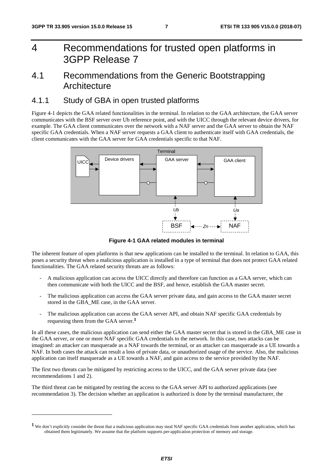-

## 4 Recommendations for trusted open platforms in 3GPP Release 7

### 4.1 Recommendations from the Generic Bootstrapping **Architecture**

#### 4.1.1 Study of GBA in open trusted platforms

Figure 4-1 depicts the GAA related functionalities in the terminal. In relation to the GAA architecture, the GAA server communicates with the BSF server over Ub reference point, and with the UICC through the relevant device drivers, for example. The GAA client communicates over the network with a NAF server and the GAA server to obtain the NAF specific GAA credentials. When a NAF server requests a GAA client to authenticate itself with GAA credentials, the client communicates with the GAA server for GAA credentials specific to that NAF.



**Figure 4-1 GAA related modules in terminal** 

The inherent feature of open platforms is that new applications can be installed to the terminal. In relation to GAA, this poses a security threat when a malicious application is installed in a type of terminal that does not protect GAA related functionalities. The GAA related security threats are as follows:

- A malicious application can access the UICC directly and therefore can function as a GAA server, which can then communicate with both the UICC and the BSF, and hence, establish the GAA master secret.
- The malicious application can access the GAA server private data, and gain access to the GAA master secret stored in the GBA\_ME case, in the GAA server.
- The malicious application can access the GAA server API, and obtain NAF specific GAA credentials by requesting them from the GAA server.**<sup>1</sup>**

In all these cases, the malicious application can send either the GAA master secret that is stored in the GBA\_ME case in the GAA server, or one or more NAF specific GAA credentials to the network. In this case, two attacks can be imagined: an attacker can masquerade as a NAF towards the terminal, or an attacker can masquerade as a UE towards a NAF. In both cases the attack can result a loss of private data, or unauthorized usage of the service. Also, the malicious application can itself masquerade as a UE towards a NAF, and gain access to the service provided by the NAF.

The first two threats can be mitigated by restricting access to the UICC, and the GAA server private data (see recommendations 1 and 2).

The third threat can be mitigated by restring the access to the GAA server API to authorized applications (see recommendation 3). The decision whether an application is authorized is done by the terminal manufacturer, the

**<sup>1</sup>** We don't explicitly consider the threat that a malicious application may steal NAF specific GAA credentials from another application, which has obtained them legitimately. We assume that the platform supports per-application protection of memory and storage.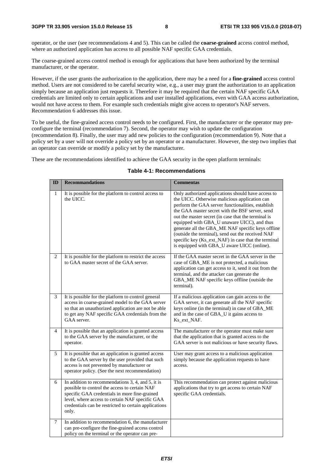operator, or the user (see recommendations 4 and 5). This can be called the **coarse-grained** access control method, where an authorized application has access to all possible NAF specific GAA credentials.

The coarse-grained access control method is enough for applications that have been authorized by the terminal manufacturer, or the operator.

However, if the user grants the authorization to the application, there may be a need for a **fine-grained** access control method. Users are not considered to be careful security wise, e.g., a user may grant the authorization to an application simply because an application just requests it. Therefore it may be required that the certain NAF specific GAA credentials are limited only to certain applications and user installed applications, even with GAA access authorization, would not have access to them. For example such credentials might give access to operator's NAF servers. Recommendation 6 addresses this issue.

To be useful, the fine-grained access control needs to be configured. First, the manufacturer or the operator may preconfigure the terminal (recommendation 7). Second, the operator may wish to update the configuration (recommendation 8). Finally, the user may add new policies to the configuration (recommendation 9). Note that a policy set by a user will not override a policy set by an operator or a manufacturer. However, the step two implies that an operator can override or modify a policy set by the manufacturer.

These are the recommendations identified to achieve the GAA security in the open platform terminals:

| ID | <b>Recommandations</b>                                                                                                                                                                                                                                                   | <b>Commentas</b>                                                                                                                                                                                                                                                                                                                                                                                                                                                                                                                  |
|----|--------------------------------------------------------------------------------------------------------------------------------------------------------------------------------------------------------------------------------------------------------------------------|-----------------------------------------------------------------------------------------------------------------------------------------------------------------------------------------------------------------------------------------------------------------------------------------------------------------------------------------------------------------------------------------------------------------------------------------------------------------------------------------------------------------------------------|
| 1  | It is possible for the platform to control access to<br>the UICC.                                                                                                                                                                                                        | Only authorized applications should have access to<br>the UICC. Otherwise malicious application can<br>perform the GAA server functionalities, establish<br>the GAA master secret with the BSF server, send<br>out the master secret (in case that the terminal is<br>equipped with GBA_U unaware UICC), and thus<br>generate all the GBA_ME NAF specific keys offline<br>(outside the terminal), send out the received NAF<br>specific key (Ks_ext_NAF) in case that the terminal<br>is equipped with GBA_U aware UICC (online). |
| 2  | It is possible for the platform to restrict the access<br>to GAA master secret of the GAA server.                                                                                                                                                                        | If the GAA master secret in the GAA server in the<br>case of GBA_ME is not protected, a malicious<br>application can get access to it, send it out from the<br>terminal, and the attacker can generate the<br>GBA_ME NAF specific keys offline (outside the<br>terminal).                                                                                                                                                                                                                                                         |
| 3  | It is possible for the platform to control general<br>access in coarse-grained model to the GAA server<br>so that an unauthorized application are not be able<br>to get any NAF specific GAA credentials from the<br>GAA server.                                         | If a malicious application can gain access to the<br>GAA server, it can generate all the NAF specific<br>keys online (in the terminal) in case of GBA_ME<br>and in the case of GBA_U it gains access to<br>Ks_ext_NAF.                                                                                                                                                                                                                                                                                                            |
| 4  | It is possible that an application is granted access<br>to the GAA server by the manufacturer, or the<br>operator.                                                                                                                                                       | The manufacturer or the operator must make sure<br>that the application that is granted access to the<br>GAA server is not malicious or have security flaws.                                                                                                                                                                                                                                                                                                                                                                      |
| 5  | It is possible that an application is granted access<br>to the GAA server by the user provided that such<br>access is not prevented by manufacturer or<br>operator policy. (See the next recommendation)                                                                 | User may grant access to a malicious application<br>simply because the application requests to have<br>access.                                                                                                                                                                                                                                                                                                                                                                                                                    |
| 6  | In addition to recommendations 3, 4, and 5, it is<br>possible to control the access to certain NAF<br>specific GAA credentials in more fine-grained<br>level, where access to certain NAF specific GAA<br>credentials can be restricted to certain applications<br>only. | This recommendation can protect against malicious<br>applications that try to get access to certain NAF<br>specific GAA credentials.                                                                                                                                                                                                                                                                                                                                                                                              |
| 7  | In addition to recommendation 6, the manufacturer<br>can pre-configure the fine-grained access control<br>policy on the terminal or the operator can pre-                                                                                                                |                                                                                                                                                                                                                                                                                                                                                                                                                                                                                                                                   |

#### **Table 4-1: Recommendations**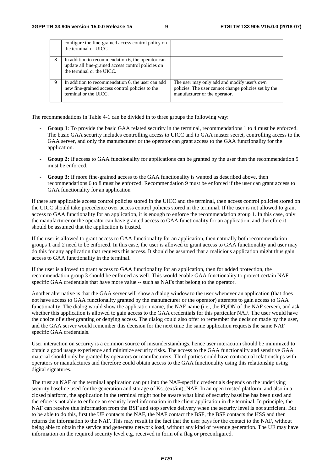|   | configure the fine-grained access control policy on<br>the terminal or UICC.                                                         |                                                                                                                                      |
|---|--------------------------------------------------------------------------------------------------------------------------------------|--------------------------------------------------------------------------------------------------------------------------------------|
| 8 | In addition to recommendation 6, the operator can<br>update all fine-grained access control policies on<br>the terminal or the UICC. |                                                                                                                                      |
|   | In addition to recommendation 6, the user can add<br>new fine-grained access control policies to the<br>terminal or the UICC.        | The user may only add and modify user's own<br>policies. The user cannot change policies set by the<br>manufacturer or the operator. |

The recommendations in Table 4-1 can be divided in to three groups the following way:

- **Group 1**: To provide the basic GAA related security in the terminal, recommendations 1 to 4 must be enforced. The basic GAA security includes controlling access to UICC and to GAA master secret, controlling access to the GAA server, and only the manufacturer or the operator can grant access to the GAA functionality for the application.
- **Group 2:** If access to GAA functionality for applications can be granted by the user then the recommendation 5 must be enforced.
- **Group 3:** If more fine-grained access to the GAA functionality is wanted as described above, then recommendations 6 to 8 must be enforced. Recommendation 9 must be enforced if the user can grant access to GAA functionality for an application

If there are applicable access control policies stored in the UICC and the terminal, then access control policies stored on the UICC should take precedence over access control policies stored in the terminal. If the user is not allowed to grant access to GAA functionality for an application, it is enough to enforce the recommendation group 1. In this case, only the manufacturer or the operator can have granted access to GAA functionality for an application, and therefore it should be assumed that the application is trusted.

If the user is allowed to grant access to GAA functionality for an application, then naturally both recommendation groups 1 and 2 need to be enforced. In this case, the user is allowed to grant access to GAA functionality and user may do this for any application that requests this access. It should be assumed that a malicious application might thus gain access to GAA functionality in the terminal.

If the user is allowed to grant access to GAA functionality for an application, then for added protection, the recommendation group 3 should be enforced as well. This would enable GAA functionality to protect certain NAF specific GAA credentials that have more value -- such as NAFs that belong to the operator.

Another alternative is that the GAA server will show a dialog window to the user whenever an application (that does not have access to GAA functionality granted by the manufacturer or the operator) attempts to gain access to GAA functionality. The dialog would show the application name, the NAF name (i.e., the FQDN of the NAF server), and ask whether this application is allowed to gain access to the GAA credentials for this particular NAF. The user would have the choice of either granting or denying access. The dialog could also offer to remember the decision made by the user, and the GAA server would remember this decision for the next time the same application requests the same NAF specific GAA credentials.

User interaction on security is a common source of misunderstandings, hence user interaction should be minimized to obtain a good usage experience and minimize security risks. The access to the GAA functionality and sensitive GAA material should only be granted by operators or manufacturers. Third parties could have contractual relationships with operators or manufactures and therefore could obtain access to the GAA functionality using this relationship using digital signatures.

The trust an NAF or the terminal application can put into the NAF-specific credentials depends on the underlying security baseline used for the generation and storage of Ks (ext/int) NAF. In an open trusted platform, and also in a closed platform, the application in the terminal might not be aware what kind of security baseline has been used and therefore is not able to enforce an security level information in the client application in the terminal. In principle, the NAF can receive this information from the BSF and stop service delivery when the security level is not sufficient. But to be able to do this, first the UE contacts the NAF, the NAF contact the BSF, the BSF contacts the HSS and then returns the information to the NAF. This may result in the fact that the user pays for the contact to the NAF, without being able to obtain the service and generates network load, without any kind of revenue generation. The UE may have information on the required security level e.g. received in form of a flag or preconfigured.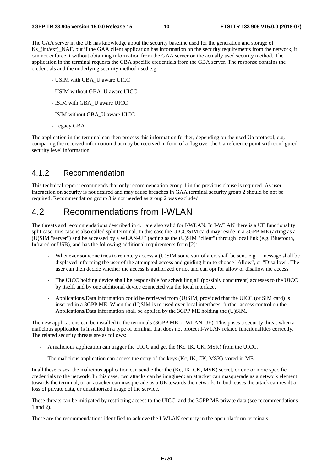The GAA server in the UE has knowledge about the security baseline used for the generation and storage of Ks\_(int/ext)\_NAF, but if the GAA client application has information on the security requirements from the network, it can not enforce it without obtaining information from the GAA server on the actually used security method. The application in the terminal requests the GBA specific credentials from the GBA server. The response contains the credentials and the underlying security method used e.g.

- USIM with GBA\_U aware UICC
- USIM without GBA\_U aware UICC
- ISIM with GBA\_U aware UICC
- ISIM without GBA\_U aware UICC
- Legacy GBA

The application in the terminal can then process this information further, depending on the used Ua protocol, e.g. comparing the received information that may be received in form of a flag over the Ua reference point with configured security level information.

#### 4.1.2 Recommendation

This technical report recommends that only recommendation group 1 in the previous clause is required. As user interaction on security is not desired and may cause breaches in GAA terminal security group 2 should be not be required. Recommendation group 3 is not needed as group 2 was excluded.

### 4.2 Recommendations from I-WLAN

The threats and recommendations described in 4.1 are also valid for I-WLAN. In I-WLAN there is a UE functionality split case, this case is also called split terminal. In this case the UICC/SIM card may reside in a 3GPP ME (acting as a (U)SIM "server") and be accessed by a WLAN-UE (acting as the (U)SIM "client") through local link (e.g. Bluetooth, Infrared or USB), and has the following additional requirements from [2]:

- Whenever someone tries to remotely access a (U)SIM some sort of alert shall be sent, e.g. a message shall be displayed informing the user of the attempted access and guiding him to choose "Allow", or "Disallow". The user can then decide whether the access is authorized or not and can opt for allow or disallow the access.
- The UICC holding device shall be responsible for scheduling all (possibly concurrent) accesses to the UICC by itself, and by one additional device connected via the local interface.
- Applications/Data information could be retrieved from (U)SIM, provided that the UICC (or SIM card) is inserted in a 3GPP ME. When the (U)SIM is re-used over local interfaces, further access control on the Applications/Data information shall be applied by the 3GPP ME holding the (U)SIM.

The new applications can be installed to the terminals (3GPP ME or WLAN-UE). This poses a security threat when a malicious application is installed in a type of terminal that does not protect I-WLAN related functionalities correctly. The related security threats are as follows:

- A malicious application can trigger the UICC and get the (Kc, IK, CK, MSK) from the UICC.
- The malicious application can access the copy of the keys (Kc, IK, CK, MSK) stored in ME.

In all these cases, the malicious application can send either the (Kc, IK, CK, MSK) secret, or one or more specific credentials to the network. In this case, two attacks can be imagined: an attacker can masquerade as a network element towards the terminal, or an attacker can masquerade as a UE towards the network. In both cases the attack can result a loss of private data, or unauthorized usage of the service.

These threats can be mitigated by restricting access to the UICC, and the 3GPP ME private data (see recommendations 1 and 2).

These are the recommendations identified to achieve the I-WLAN security in the open platform terminals: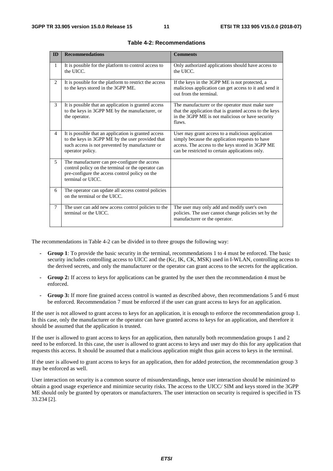| ID             | <b>Recommendations</b>                                                                                                                                                          | <b>Comments</b>                                                                                                                                                                                            |
|----------------|---------------------------------------------------------------------------------------------------------------------------------------------------------------------------------|------------------------------------------------------------------------------------------------------------------------------------------------------------------------------------------------------------|
| $\mathbf{1}$   | It is possible for the platform to control access to<br>the UICC.                                                                                                               | Only authorized applications should have access to<br>the UICC.                                                                                                                                            |
| 2              | It is possible for the platform to restrict the access<br>to the keys stored in the 3GPP ME.                                                                                    | If the keys in the 3GPP ME is not protected, a<br>malicious application can get access to it and send it<br>out from the terminal.                                                                         |
| 3              | It is possible that an application is granted access<br>to the keys in 3GPP ME by the manufacturer, or<br>the operator.                                                         | The manufacturer or the operator must make sure<br>that the application that is granted access to the keys<br>in the 3GPP ME is not malicious or have security<br>flaws.                                   |
| $\overline{4}$ | It is possible that an application is granted access<br>to the keys in 3GPP ME by the user provided that<br>such access is not prevented by manufacturer or<br>operator policy. | User may grant access to a malicious application<br>simply because the application requests to have<br>access. The access to the keys stored in 3GPP ME<br>can be restricted to certain applications only. |
| 5              | The manufacturer can pre-configure the access<br>control policy on the terminal or the operator can<br>pre-configure the access control policy on the<br>terminal or UICC.      |                                                                                                                                                                                                            |
| 6              | The operator can update all access control policies<br>on the terminal or the UICC.                                                                                             |                                                                                                                                                                                                            |
| 7              | The user can add new access control policies to the<br>terminal or the UICC.                                                                                                    | The user may only add and modify user's own<br>policies. The user cannot change policies set by the<br>manufacturer or the operator.                                                                       |

**Table 4-2: Recommendations** 

The recommendations in Table 4-2 can be divided in to three groups the following way:

- **Group 1**: To provide the basic security in the terminal, recommendations 1 to 4 must be enforced. The basic security includes controlling access to UICC and the (Kc, IK, CK, MSK) used in I-WLAN, controlling access to the derived secrets, and only the manufacturer or the operator can grant access to the secrets for the application.
- **Group 2:** If access to keys for applications can be granted by the user then the recommendation 4 must be enforced.
- **Group 3:** If more fine grained access control is wanted as described above, then recommendations 5 and 6 must be enforced. Recommendation 7 must be enforced if the user can grant access to keys for an application.

If the user is not allowed to grant access to keys for an application, it is enough to enforce the recommendation group 1. In this case, only the manufacturer or the operator can have granted access to keys for an application, and therefore it should be assumed that the application is trusted.

If the user is allowed to grant access to keys for an application, then naturally both recommendation groups 1 and 2 need to be enforced. In this case, the user is allowed to grant access to keys and user may do this for any application that requests this access. It should be assumed that a malicious application might thus gain access to keys in the terminal.

If the user is allowed to grant access to keys for an application, then for added protection, the recommendation group 3 may be enforced as well.

User interaction on security is a common source of misunderstandings, hence user interaction should be minimized to obtain a good usage experience and minimize security risks. The access to the UICC/ SIM and keys stored in the 3GPP ME should only be granted by operators or manufacturers. The user interaction on security is required is specified in TS 33.234 [2].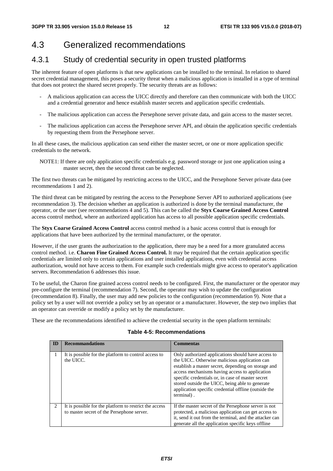### 4.3 Generalized recommendations

#### 4.3.1 Study of credential security in open trusted platforms

The inherent feature of open platforms is that new applications can be installed to the terminal. In relation to shared secret credential management, this poses a security threat when a malicious application is installed in a type of terminal that does not protect the shared secret properly. The security threats are as follows:

- A malicious application can access the UICC directly and therefore can then communicate with both the UICC and a credential generator and hence establish master secrets and application specific credentials.
- The malicious application can access the Persephone server private data, and gain access to the master secret.
- The malicious application can access the Persephone server API, and obtain the application specific credentials by requesting them from the Persephone server.

In all these cases, the malicious application can send either the master secret, or one or more application specific credentials to the network.

NOTE1: If there are only application specific credentials e.g. password storage or just one application using a master secret, then the second threat can be neglected.

The first two threats can be mitigated by restricting access to the UICC, and the Persephone Server private data (see recommendations 1 and 2).

The third threat can be mitigated by restring the access to the Persephone Server API to authorized applications (see recommendation 3). The decision whether an application is authorized is done by the terminal manufacturer, the operator, or the user (see recommendations 4 and 5). This can be called the **Styx Coarse Grained Access Control** access control method, where an authorized application has access to all possible application specific credentials.

The **Styx Coarse Grained Access Control** access control method is a basic access control that is enough for applications that have been authorized by the terminal manufacturer, or the operator.

However, if the user grants the authorization to the application, there may be a need for a more granulated access control method. i.e. **Charon Fine Grained Access Control.** It may be required that the certain application specific credentials are limited only to certain applications and user installed applications, even with credential access authorization, would not have access to them. For example such credentials might give access to operator's application servers. Recommendation 6 addresses this issue.

To be useful, the Charon fine grained access control needs to be configured. First, the manufacturer or the operator may pre-configure the terminal (recommendation 7). Second, the operator may wish to update the configuration (recommendation 8). Finally, the user may add new policies to the configuration (recommendation 9). Note that a policy set by a user will not override a policy set by an operator or a manufacturer. However, the step two implies that an operator can override or modify a policy set by the manufacturer.

These are the recommendations identified to achieve the credential security in the open platform terminals:

|                | <b>Recommandations</b>                                                                               | <b>Commentas</b>                                                                                                                                                                                                                                                                                                                                                                           |
|----------------|------------------------------------------------------------------------------------------------------|--------------------------------------------------------------------------------------------------------------------------------------------------------------------------------------------------------------------------------------------------------------------------------------------------------------------------------------------------------------------------------------------|
| 1              | It is possible for the platform to control access to<br>the UICC.                                    | Only authorized applications should have access to<br>the UICC. Otherwise malicious application can<br>establish a master secret, depending on storage and<br>access mechanisms having access to application<br>specific credentials or, in case of master secret<br>stored outside the UICC, being able to generate<br>application specific credential offline (outside the<br>terminal). |
| $\mathfrak{D}$ | It is possible for the platform to restrict the access<br>to master secret of the Persephone server. | If the master secret of the Persephone server is not<br>protected, a malicious application can get access to<br>it, send it out from the terminal, and the attacker can<br>generate all the application specific keys offline                                                                                                                                                              |

#### **Table 4-5: Recommendations**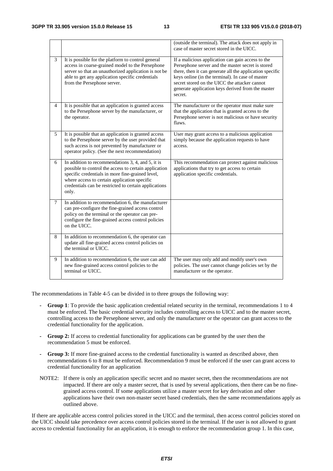|        |                                                                                                                                                                                                                                                                                  | (outside the terminal). The attack does not apply in<br>case of master secret stored in the UICC.                                                                                                                                                                                                                                       |
|--------|----------------------------------------------------------------------------------------------------------------------------------------------------------------------------------------------------------------------------------------------------------------------------------|-----------------------------------------------------------------------------------------------------------------------------------------------------------------------------------------------------------------------------------------------------------------------------------------------------------------------------------------|
| 3      | It is possible for the platform to control general<br>access in coarse-grained model to the Persephone<br>server so that an unauthorized application is not be<br>able to get any application specific credentials<br>from the Persephone server.                                | If a malicious application can gain access to the<br>Persephone server and the master secret is stored<br>there, then it can generate all the application specific<br>keys online (in the terminal). In case of master<br>secret stored on the UICC the attacker cannot<br>generate application keys derived from the master<br>secret. |
| 4      | It is possible that an application is granted access<br>to the Persephone server by the manufacturer, or<br>the operator.                                                                                                                                                        | The manufacturer or the operator must make sure<br>that the application that is granted access to the<br>Persephone server is not malicious or have security<br>flaws.                                                                                                                                                                  |
| 5      | It is possible that an application is granted access<br>to the Persephone server by the user provided that<br>such access is not prevented by manufacturer or<br>operator policy. (See the next recommendation)                                                                  | User may grant access to a malicious application<br>simply because the application requests to have<br>access.                                                                                                                                                                                                                          |
| 6      | In addition to recommendations 3, 4, and 5, it is<br>possible to control the access to certain application<br>specific credentials in more fine-grained level,<br>where access to certain application specific<br>credentials can be restricted to certain applications<br>only. | This recommendation can protect against malicious<br>applications that try to get access to certain<br>application specific credentials.                                                                                                                                                                                                |
| $\tau$ | In addition to recommendation 6, the manufacturer<br>can pre-configure the fine-grained access control<br>policy on the terminal or the operator can pre-<br>configure the fine-grained access control policies<br>on the UICC.                                                  |                                                                                                                                                                                                                                                                                                                                         |
| 8      | In addition to recommendation 6, the operator can<br>update all fine-grained access control policies on<br>the terminal or UICC.                                                                                                                                                 |                                                                                                                                                                                                                                                                                                                                         |
| 9      | In addition to recommendation 6, the user can add<br>new fine-grained access control policies to the<br>terminal or UICC.                                                                                                                                                        | The user may only add and modify user's own<br>policies. The user cannot change policies set by the<br>manufacturer or the operator.                                                                                                                                                                                                    |

The recommendations in Table 4-5 can be divided in to three groups the following way:

- **Group 1**: To provide the basic application credential related security in the terminal, recommendations 1 to 4 must be enforced. The basic credential security includes controlling access to UICC and to the master secret, controlling access to the Persephone server, and only the manufacturer or the operator can grant access to the credential functionality for the application.
- **Group 2:** If access to credential functionality for applications can be granted by the user then the recommendation 5 must be enforced.
- Group 3: If more fine-grained access to the credential functionality is wanted as described above, then recommendations 6 to 8 must be enforced. Recommendation 9 must be enforced if the user can grant access to credential functionality for an application
- NOTE2: If there is only an application specific secret and no master secret, then the recommendations are not impacted. If there are only a master secret, that is used by several applications, then there can be no finegrained access control. If some applications utilize a master secret for key derivation and other applications have their own non-master secret based credentials, then the same recommendations apply as outlined above.

If there are applicable access control policies stored in the UICC and the terminal, then access control policies stored on the UICC should take precedence over access control policies stored in the terminal. If the user is not allowed to grant access to credential functionality for an application, it is enough to enforce the recommendation group 1. In this case,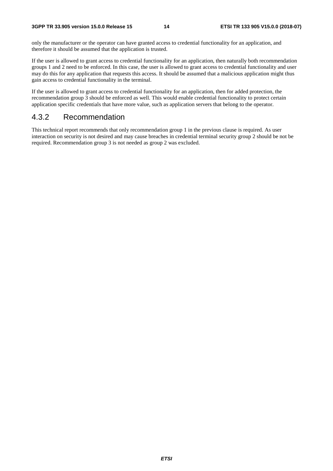only the manufacturer or the operator can have granted access to credential functionality for an application, and therefore it should be assumed that the application is trusted.

If the user is allowed to grant access to credential functionality for an application, then naturally both recommendation groups 1 and 2 need to be enforced. In this case, the user is allowed to grant access to credential functionality and user may do this for any application that requests this access. It should be assumed that a malicious application might thus gain access to credential functionality in the terminal.

If the user is allowed to grant access to credential functionality for an application, then for added protection, the recommendation group 3 should be enforced as well. This would enable credential functionality to protect certain application specific credentials that have more value, such as application servers that belong to the operator.

#### 4.3.2 Recommendation

This technical report recommends that only recommendation group 1 in the previous clause is required. As user interaction on security is not desired and may cause breaches in credential terminal security group 2 should be not be required. Recommendation group 3 is not needed as group 2 was excluded.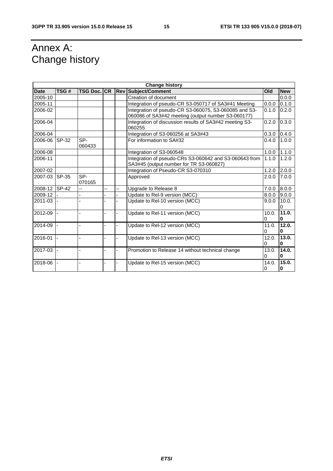## Annex A: Change history

| <b>Change history</b>  |              |                    |  |    |                                                                                                   |            |                   |
|------------------------|--------------|--------------------|--|----|---------------------------------------------------------------------------------------------------|------------|-------------------|
| <b>Date</b>            | TSG#         | <b>TSG Doc. CR</b> |  |    | <b>Rev Subject/Comment</b>                                                                        | Old        | <b>New</b>        |
| 2005-10                |              |                    |  |    | Creation of document                                                                              |            | 0.0.0             |
| 2005-11                |              |                    |  |    | Integration of pseudo-CR S3-050717 of SA3#41 Meeting                                              | 0.0.0      | 0.1.0             |
| 2006-02                |              |                    |  |    | Integration of pseudo-CR S3-060075, S3-060085 and S3-                                             | 0.1.0      | 0.2.0             |
|                        |              |                    |  |    | 060086 of SA3#42 meeting (output number S3-060177)                                                |            |                   |
| 2006-04                |              |                    |  |    | Integration of discussion results of SA3#42 meeting S3-<br>060255                                 | 0.2.0      | 0.3.0             |
| 2006-04                |              |                    |  |    | Integration of S3-060256 at SA3#43                                                                | 0.3.0      | 0.4.0             |
| 2006-06                | SP-32        | SP-<br>060433      |  |    | For information to SA#32                                                                          | 0.4.0      | 1.0.0             |
| 2006-08                |              |                    |  |    | Integration of S3-060548                                                                          | 1.0.0      | 1.1.0             |
| 2006-11                |              |                    |  |    | Integration of pseudo-CRs S3-060642 and S3-060643 from<br>SA3#45 (output number for TR S3-060827) | 1.1.0      | 1.2.0             |
| $\overline{2007} - 02$ |              |                    |  |    | Integration of Pseudo-CR S3-070310                                                                | 1.2.0      | 2.0.0             |
| 2007-03                | <b>SP-35</b> | SP-<br>070165      |  |    | Approved                                                                                          | 2.0.0      | 7.0.0             |
| 2008-12                | <b>SP-42</b> | $-$                |  | -- | Upgrade to Release 8                                                                              | 7.0.0      | 8.0.0             |
| 2009-12                |              |                    |  |    | Update to Rel-9 version (MCC)                                                                     | 8.0.0      | 9.0.0             |
| 2011-03                |              |                    |  |    | Update to Rel-10 version (MCC)                                                                    | 9.0.0      | 10.0.<br>0        |
| 2012-09                |              | ÷,                 |  |    | Update to Rel-11 version (MCC)                                                                    | 10.0.<br>0 | 11.0.<br>0        |
| 2014-09                |              |                    |  |    | Update to Rel-12 version (MCC)                                                                    | 11.0.      | 12.0.             |
|                        |              |                    |  |    |                                                                                                   | 0          | $\bf{0}$          |
| 2016-01                |              |                    |  |    | Update to Rel-13 version (MCC)                                                                    | 12.0.<br>0 | 13.0.<br>$\bf{0}$ |
| 2017-03                |              |                    |  |    | Promotion to Release 14 without technical change                                                  | 13.0.<br>0 | 14.0.<br>$\bf{0}$ |
| 2018-06                |              |                    |  |    | Update to Rel-15 version (MCC)                                                                    | 14.0.<br>0 | 15.0.<br>$\bf{0}$ |